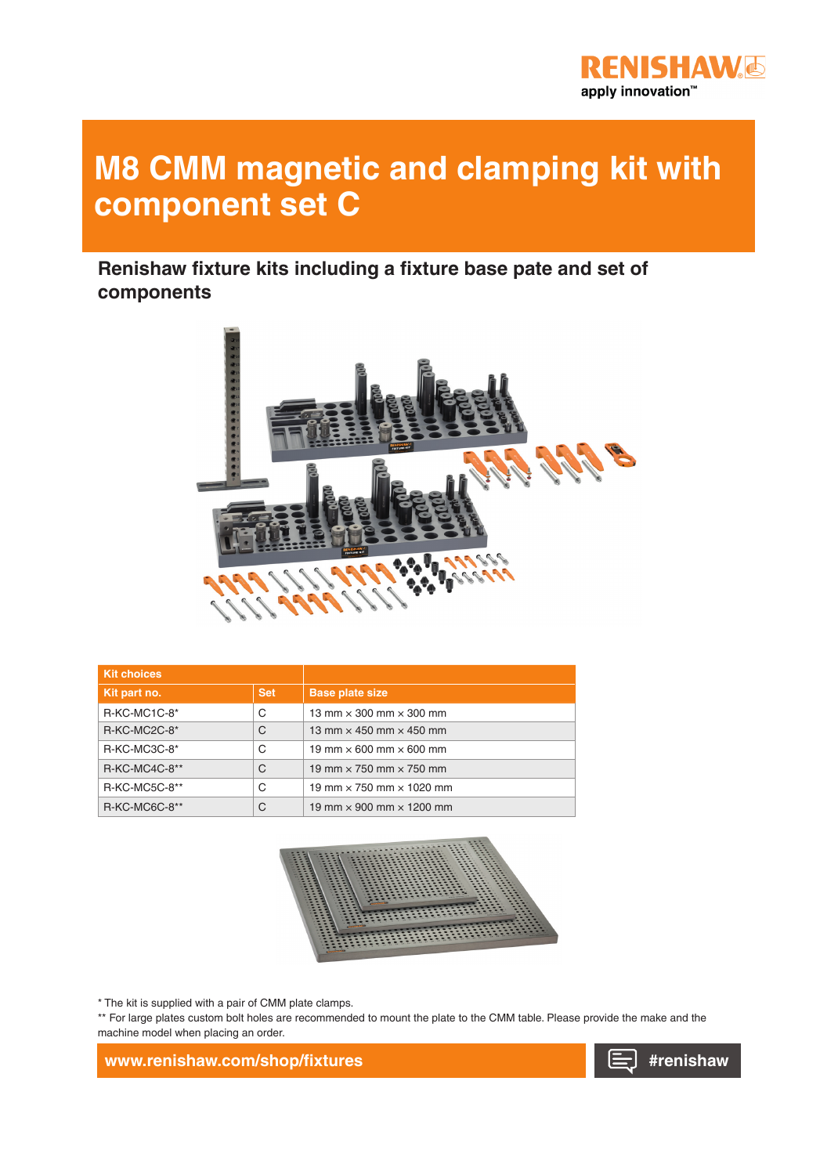

## **M8 CMM magnetic and clamping kit with component set C**

**Renishaw fixture kits including a fixture base pate and set of components**



| <b>Kit choices</b> |            |                                        |
|--------------------|------------|----------------------------------------|
| Kit part no.       | <b>Set</b> | <b>Base plate size</b>                 |
| $R-KC-MC1C-8*$     | C          | 13 mm $\times$ 300 mm $\times$ 300 mm  |
| $R-KC-MC2C-8*$     | C          | 13 mm $\times$ 450 mm $\times$ 450 mm  |
| $R-KC-MC3C-8*$     | C          | 19 mm $\times$ 600 mm $\times$ 600 mm  |
| $R-KC-MC4C-8**$    | C          | 19 mm $\times$ 750 mm $\times$ 750 mm  |
| R-KC-MC5C-8**      | C          | 19 mm $\times$ 750 mm $\times$ 1020 mm |
| R-KC-MC6C-8**      | C          | 19 mm $\times$ 900 mm $\times$ 1200 mm |



\* The kit is supplied with a pair of CMM plate clamps.

\*\* For large plates custom bolt holes are recommended to mount the plate to the CMM table. Please provide the make and the machine model when placing an order.

**www.renishaw.com/shop/fixtures**

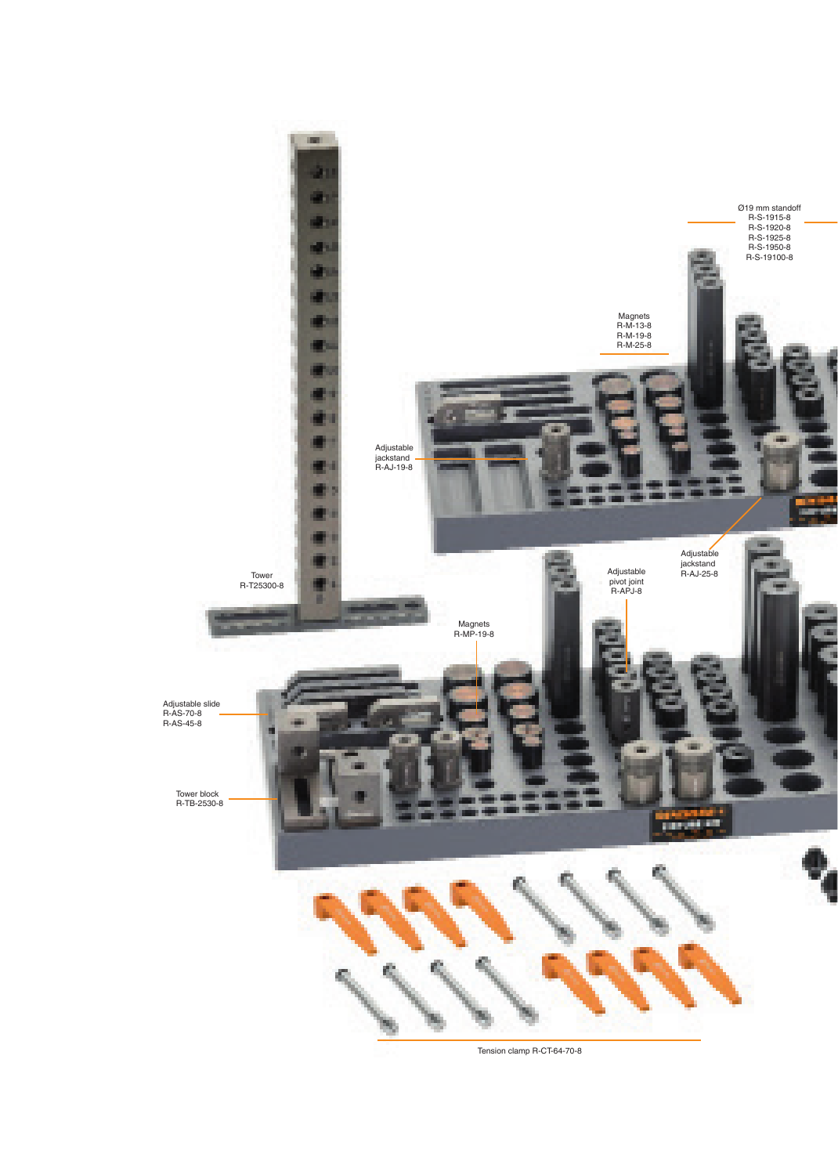

Tension clamp R-CT-64-70-8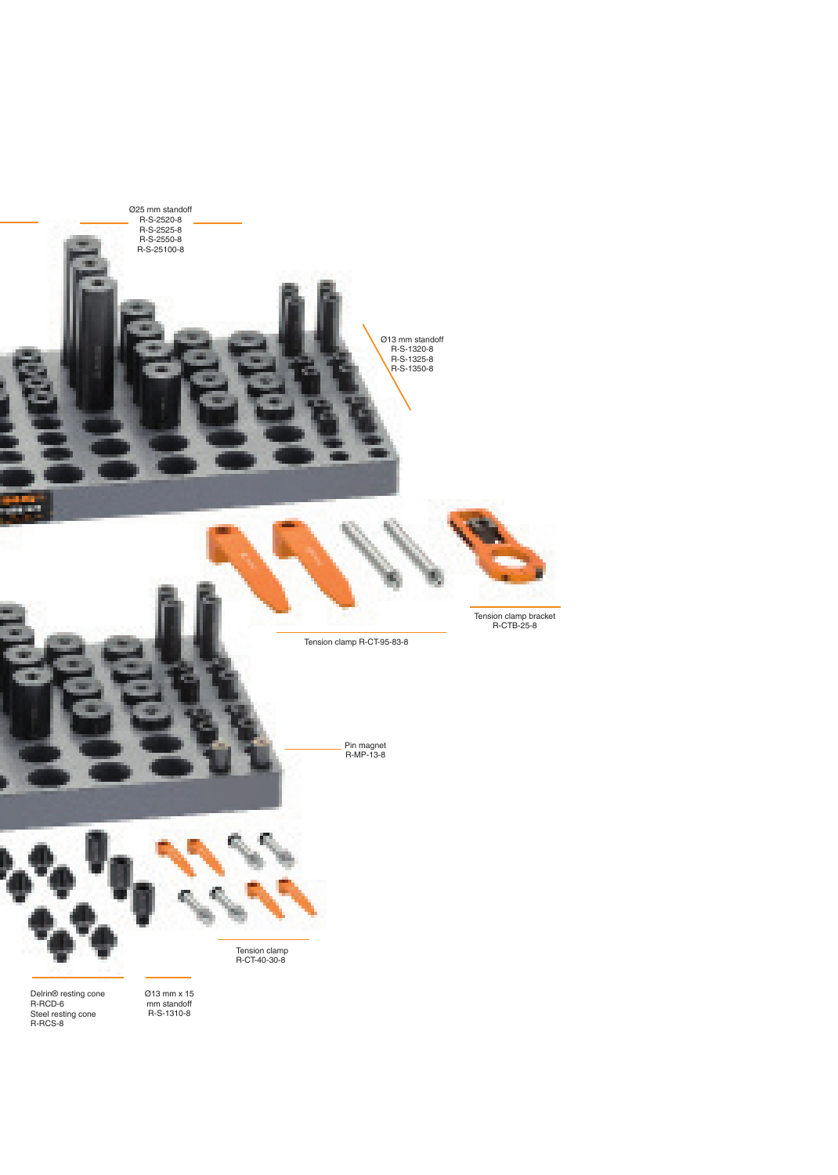

Delrin® resting cone R-RCD-6 Steel resting cone R-RCS-8

Ø13 mm x 15 mm standoff R-S-1310-8